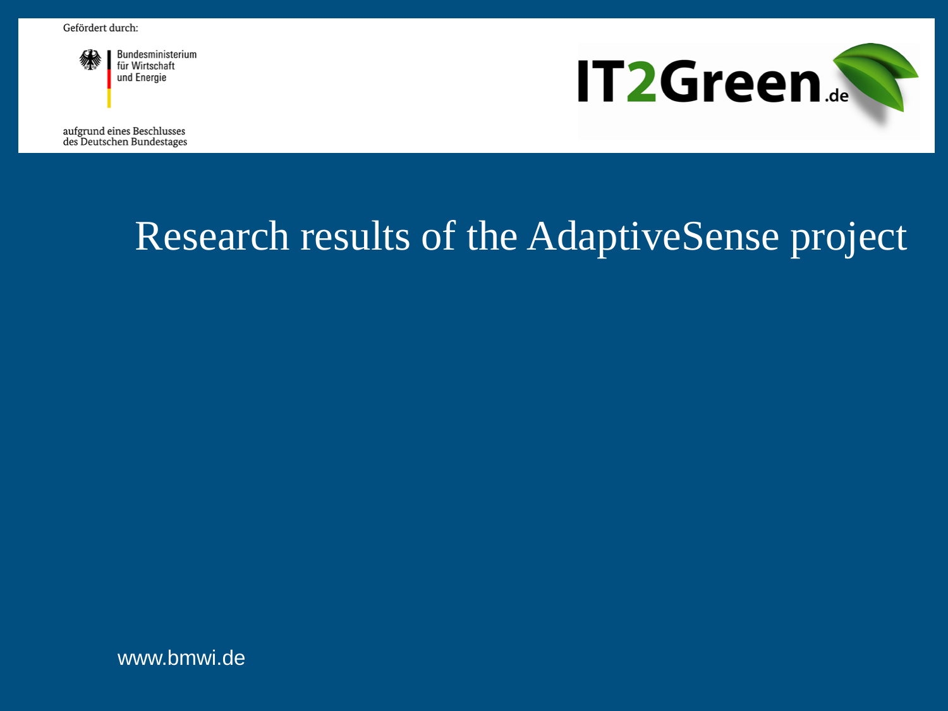

Bundesministerium für Wirtschaft und Energie

aufgrund eines Beschlusses des Deutschen Bundestages



# Research results of the AdaptiveSense project

www.bmwi.de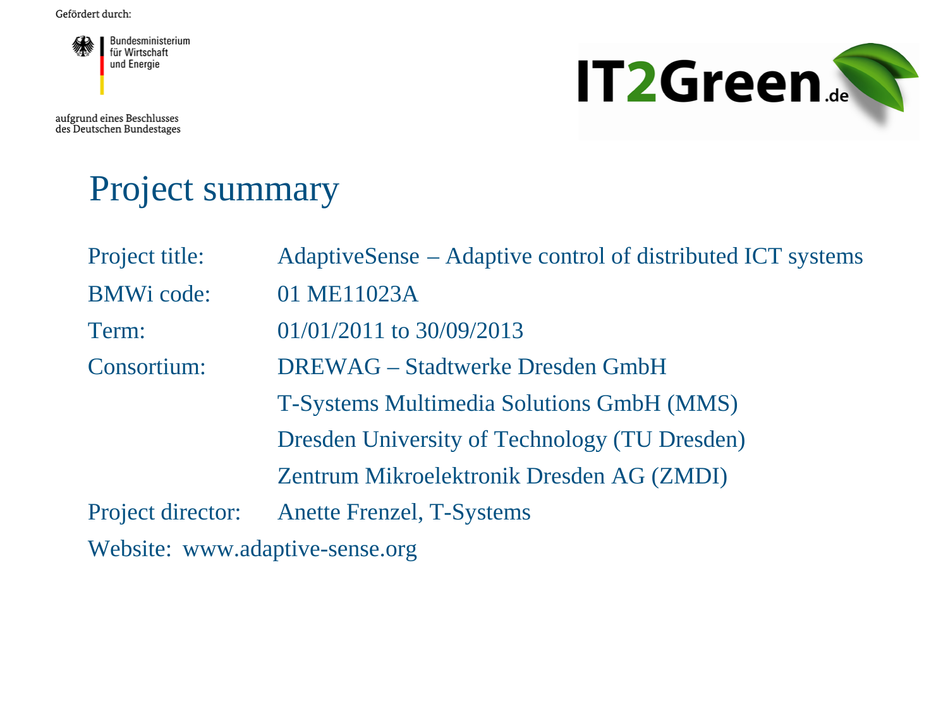

aufgrund eines Beschlusses<br>des Deutschen Bundestages



# Project summary

| Project title:                  | AdaptiveSense – Adaptive control of distributed ICT systems |
|---------------------------------|-------------------------------------------------------------|
| <b>BMWi</b> code:               | 01 ME11023A                                                 |
| Term:                           | $01/01/2011$ to $30/09/2013$                                |
| Consortium:                     | <b>DREWAG</b> – Stadtwerke Dresden GmbH                     |
|                                 | T-Systems Multimedia Solutions GmbH (MMS)                   |
|                                 | Dresden University of Technology (TU Dresden)               |
|                                 | Zentrum Mikroelektronik Dresden AG (ZMDI)                   |
| Project director:               | <b>Anette Frenzel, T-Systems</b>                            |
| Website: www.adaptive-sense.org |                                                             |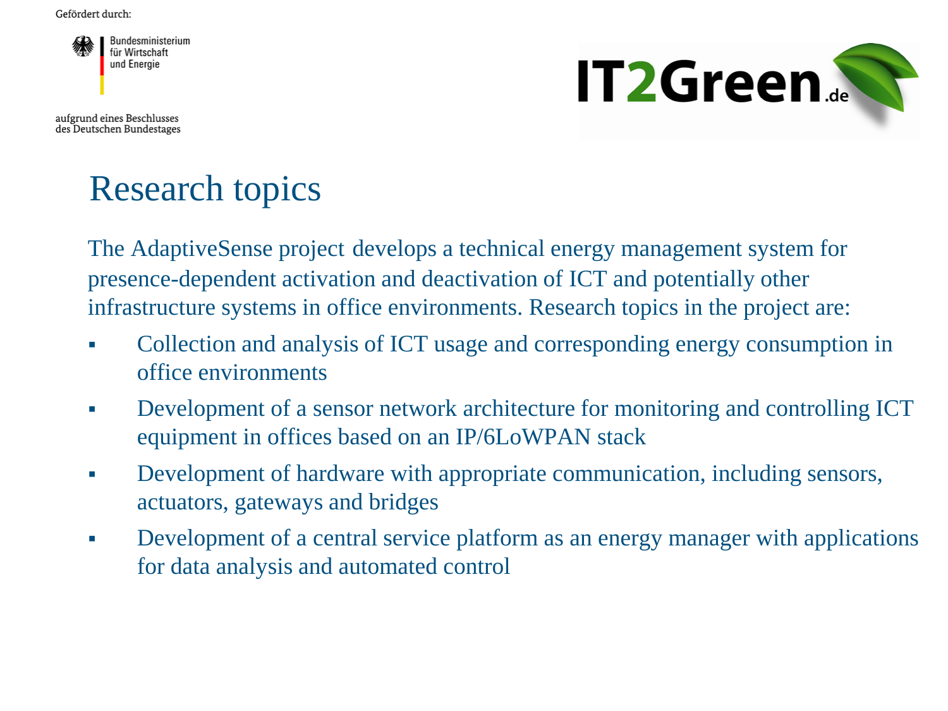

aufgrund eines Beschlusses des Deutschen Bundestages



# Research topics

The AdaptiveSense project develops a technical energy management system for presence-dependent activation and deactivation of ICT and potentially other infrastructure systems in office environments. Research topics in the project are:

- Collection and analysis of ICT usage and corresponding energy consumption in office environments
- Development of a sensor network architecture for monitoring and controlling ICT equipment in offices based on an IP/6LoWPAN stack
- Development of hardware with appropriate communication, including sensors, actuators, gateways and bridges
- Development of a central service platform as an energy manager with applications for data analysis and automated control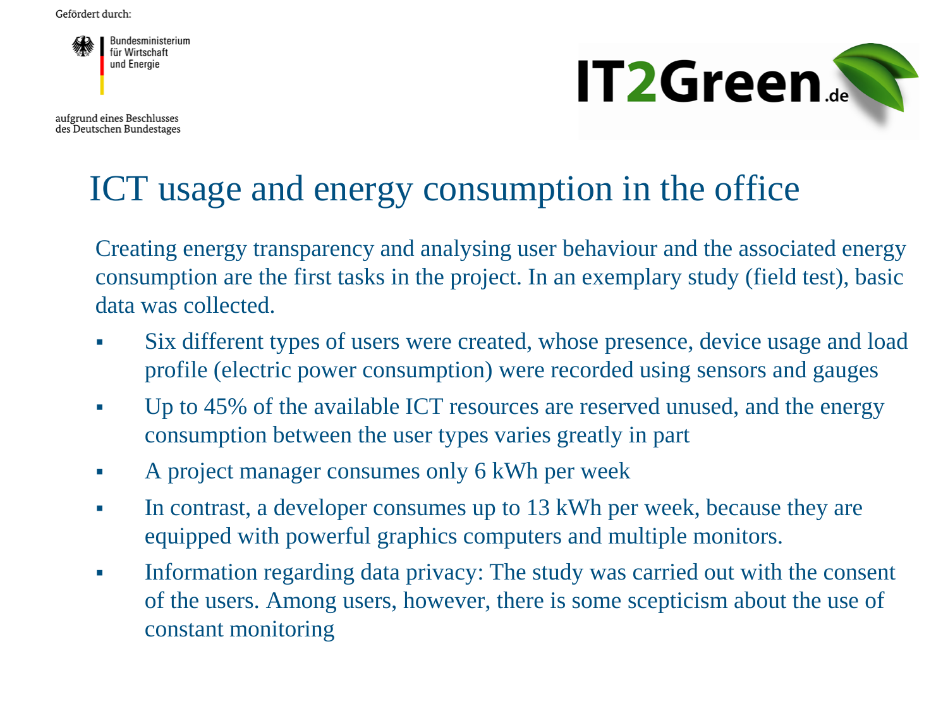

aufgrund eines Beschlusses des Deutschen Bundestages



#### ICT usage and energy consumption in the office

Creating energy transparency and analysing user behaviour and the associated energy consumption are the first tasks in the project. In an exemplary study (field test), basic data was collected.

- Six different types of users were created, whose presence, device usage and load profile (electric power consumption) were recorded using sensors and gauges
- Up to 45% of the available ICT resources are reserved unused, and the energy consumption between the user types varies greatly in part
- A project manager consumes only 6 kWh per week
- In contrast, a developer consumes up to 13 kWh per week, because they are equipped with powerful graphics computers and multiple monitors.
- Information regarding data privacy: The study was carried out with the consent of the users. Among users, however, there is some scepticism about the use of constant monitoring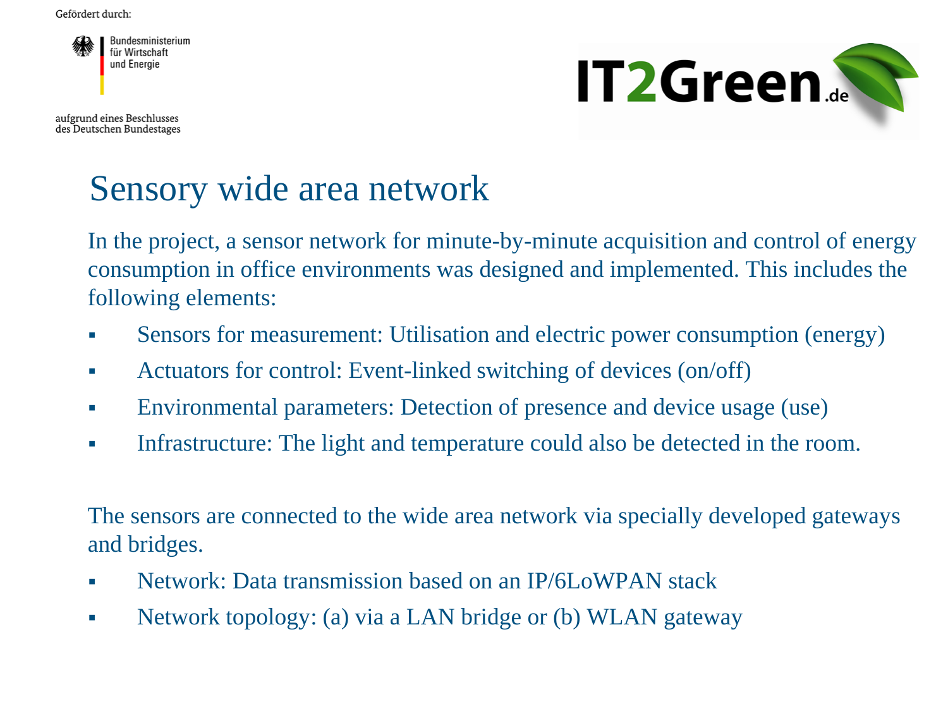

aufgrund eines Beschlusses des Deutschen Bundestages



# Sensory wide area network

In the project, a sensor network for minute-by-minute acquisition and control of energy consumption in office environments was designed and implemented. This includes the following elements:

- Sensors for measurement: Utilisation and electric power consumption (energy)
- Actuators for control: Event-linked switching of devices (on/off)
- Environmental parameters: Detection of presence and device usage (use)
- Infrastructure: The light and temperature could also be detected in the room.

The sensors are connected to the wide area network via specially developed gateways and bridges.

- Network: Data transmission based on an IP/6LoWPAN stack
- Network topology: (a) via a LAN bridge or (b) WLAN gateway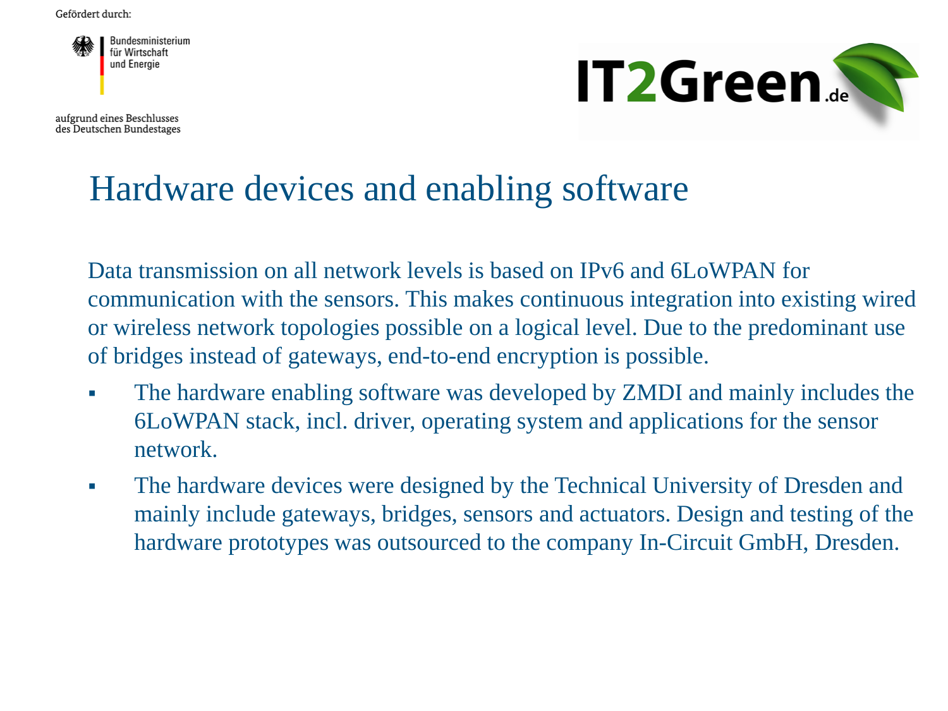

aufgrund eines Beschlusses des Deutschen Bundestages



#### Hardware devices and enabling software

Data transmission on all network levels is based on IPv6 and 6LoWPAN for communication with the sensors. This makes continuous integration into existing wired or wireless network topologies possible on a logical level. Due to the predominant use of bridges instead of gateways, end-to-end encryption is possible.

- The hardware enabling software was developed by ZMDI and mainly includes the 6LoWPAN stack, incl. driver, operating system and applications for the sensor network.
- The hardware devices were designed by the Technical University of Dresden and mainly include gateways, bridges, sensors and actuators. Design and testing of the hardware prototypes was outsourced to the company In-Circuit GmbH, Dresden.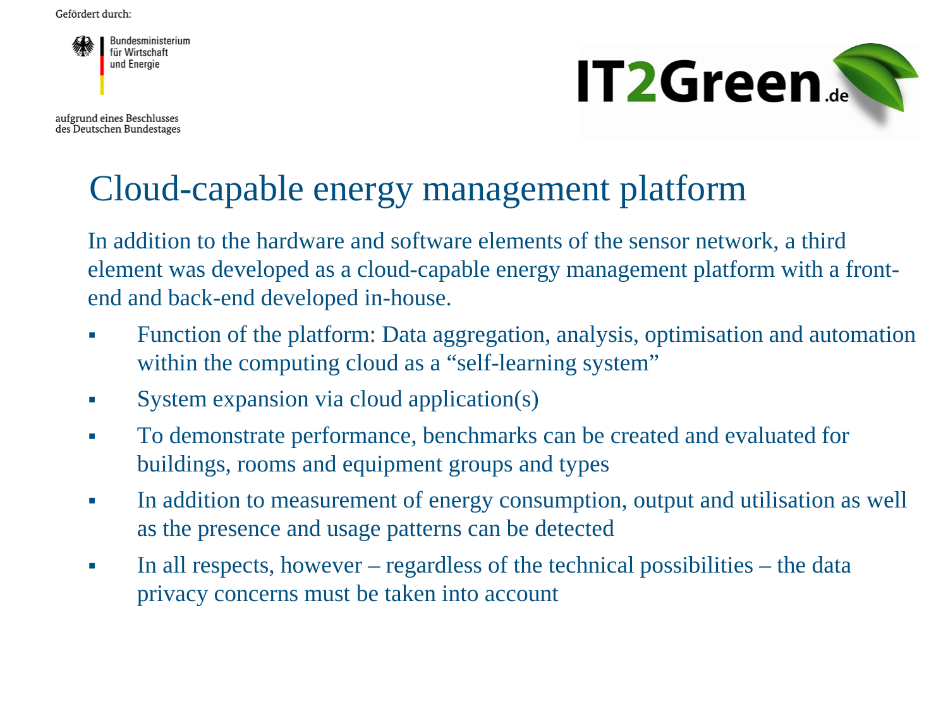

aufgrund eines Beschlusses des Deutschen Bundestages



# Cloud-capable energy management platform

In addition to the hardware and software elements of the sensor network, a third element was developed as a cloud-capable energy management platform with a frontend and back-end developed in-house.

- Function of the platform: Data aggregation, analysis, optimisation and automation within the computing cloud as a "self-learning system"
- System expansion via cloud application(s)
- To demonstrate performance, benchmarks can be created and evaluated for buildings, rooms and equipment groups and types
- In addition to measurement of energy consumption, output and utilisation as well as the presence and usage patterns can be detected
- In all respects, however regardless of the technical possibilities the data privacy concerns must be taken into account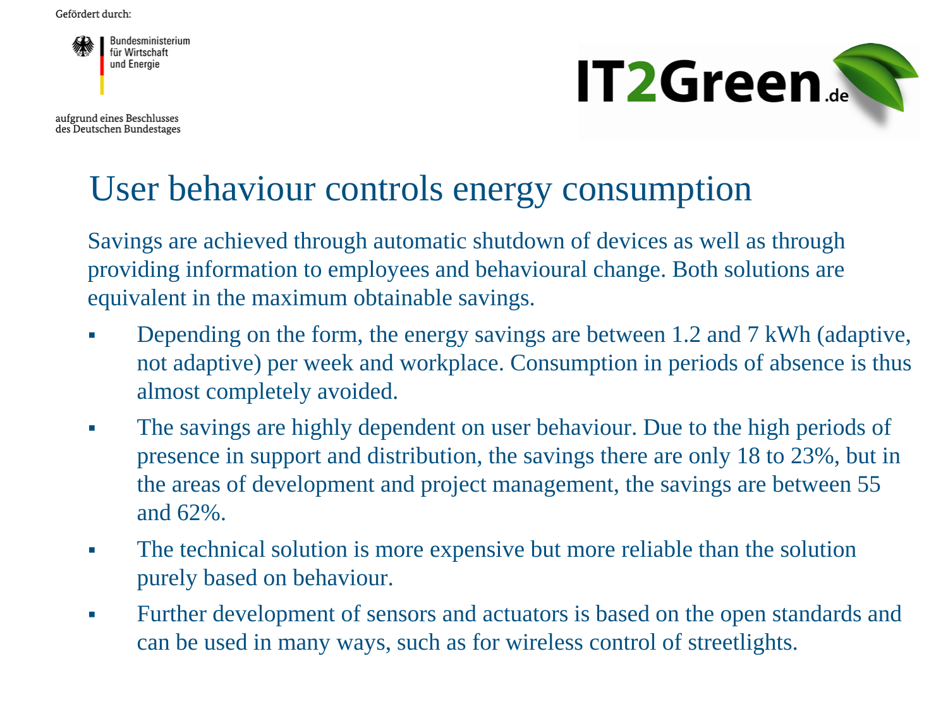

aufgrund eines Beschlusses des Deutschen Bundestages



### User behaviour controls energy consumption

Savings are achieved through automatic shutdown of devices as well as through providing information to employees and behavioural change. Both solutions are equivalent in the maximum obtainable savings.

- Depending on the form, the energy savings are between 1.2 and 7 kWh (adaptive, not adaptive) per week and workplace. Consumption in periods of absence is thus almost completely avoided.
- The savings are highly dependent on user behaviour. Due to the high periods of presence in support and distribution, the savings there are only 18 to 23%, but in the areas of development and project management, the savings are between 55 and 62%.
- The technical solution is more expensive but more reliable than the solution purely based on behaviour.
- Further development of sensors and actuators is based on the open standards and can be used in many ways, such as for wireless control of streetlights.